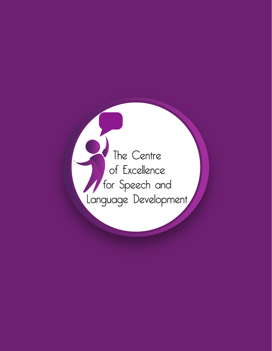The Centre of Excellence / for Speech and<br>Language Development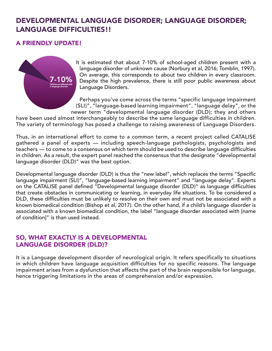# DEVELOPMENTAL LANGUAGE DISORDER; LANGUAGE DISORDER; LANGUAGE DIFFICULTIES!!

# A FRIENDLY UPDATE!



It is estimated that about 7-10% of school-aged children present with a language disorder of unknown cause (Norbury et al, 2016; Tomblin, 1997). On average, this corresponds to about two children in every classroom. Despite the high prevalence, there is still poor public awareness about Language Disorders.

Perhaps you've come across the terms "specific language impairment (SLI)", "language-based learning impairment", "language delay", or the newer term "developmental language disorder (DLD); they and others

have been used almost interchangeably to describe the same language difficulties in children. The variety of terminology has posed a challenge to raising awareness of Language Disorders.

Thus, in an international effort to come to a common term, a recent project called CATALISE gathered a panel of experts — including speech-language pathologists, psychologists and teachers — to come to a consensus on which term should be used to describe language difficulties in children. As a result, the expert panel reached the consensus that the designate "developmental language disorder (DLD)" was the best option.

Developmental language disorder (DLD) is thus the "new label", which replaces the terms "Specific language impairment (SLI)", "language-based learning impairment" and "language delay". Experts on the CATALISE panel defined "Developmental language disorder (DLD)" as language difficulties that create obstacles in communicating or learning, in everyday life situations. To be considered a DLD, these difficulties must be unlikely to resolve on their own and must not be associated with a known biomedical condition (Bishop et al, 2017). On the other hand, if a child's language disorder is associated with a known biomedical condition, the label "language disorder associated with [name of condition]" is than used instead.

### SO, WHAT EXACTLY IS A DEVELOPMENTAL LANGUAGE DISORDER (DLD)?

It is a Language development disorder of neurological origin. It refers specifically to situations in which children have language acquisition difficulties for no specific reasons. The language impairment arises from a dysfunction that affects the part of the brain responsible for language, hence triggering limitations in the areas of comprehension and/or expression.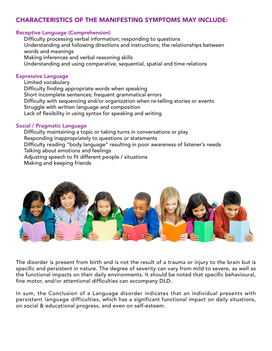# CHARACTERISTICS OF THE MANIFESTING SYMPTOMS MAY INCLUDE:

#### Receptive Language (Comprehension)

Difficulty processing verbal information; responding to questions Understanding and following directions and instructions; the relationships between words and meanings Making inferences and verbal reasoning skills Understanding and using comparative, sequential, spatial and time relations

#### Expressive Language

Limited vocabulary Difficulty finding appropriate words when speaking Short incomplete sentences; frequent grammatical errors Difficulty with sequencing and/or organization when re-telling stories or events Struggle with written language and composition Lack of flexibility in using syntax for speaking and writing

#### Social / Pragmatic Language

Difficulty maintaining a topic or taking turns in conversations or play Responding inappropriately to questions or statements Difficulty reading "body language" resulting in poor awareness of listener's needs Talking about emotions and feelings Adjusting speech to fit different people / situations Making and keeping friends



The disorder is present from birth and is not the result of a trauma or injury to the brain but is specific and persistent in nature. The degree of severity can vary from mild to severe, as well as the functional impacts on their daily environments. It should be noted that specific behavioural, fine motor, and/or attentional difficulties can accompany DLD.

In sum, the Conclusion of a Language disorder indicates that an individual presents with persistent language difficulties, which has a significant functional impact on daily situations, on social & educational progress, and even on self-esteem.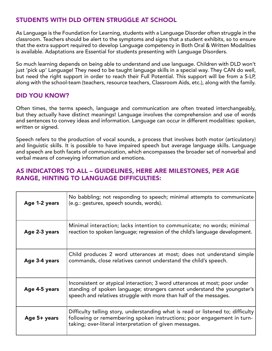# STUDENTS WITH DLD OFTEN STRUGGLE AT SCHOOL

As Language is the Foundation for Learning, students with a Language Disorder often struggle in the classroom. Teachers should be alert to the symptoms and signs that a student exhibits, so to ensure that the extra support required to develop Language competency in Both Oral & Written Modalities is available. Adaptations are Essential for students presenting with Language Disorders.

So much learning depends on being able to understand and use language. Children with DLD won't just 'pick up' Language! They need to be taught language skills in a special way. They CAN do well, but need the right support in order to reach their Full Potential. This support will be from a S-LP, along with the school-team (teachers, resource teachers, Classroom Aids, etc.), along with the family.

# DID YOU KNOW?

Often times, the terms speech, language and communication are often treated interchangeably, but they actually have distinct meanings! Language involves the comprehension and use of words and sentences to convey ideas and information. Language can occur in different modalities: spoken, written or signed.

Speech refers to the production of vocal sounds, a process that involves both motor (articulatory) and linguistic skills. It is possible to have impaired speech but average language skills. Language and speech are both facets of communication, which encompasses the broader set of nonverbal and verbal means of conveying information and emotions.

### AS INDICATORS TO ALL – GUIDELINES, HERE ARE MILESTONES, PER AGE RANGE, HINTING TO LANGUAGE DIFFICULTIES:

| Age 1-2 years | No babbling; not responding to speech; minimal attempts to communicate<br>(e.g.: gestures, speech sounds, words).                                                                                                             |
|---------------|-------------------------------------------------------------------------------------------------------------------------------------------------------------------------------------------------------------------------------|
| Age 2-3 years | Minimal interaction; lacks intention to communicate; no words; minimal<br>reaction to spoken language; regression of the child's language development.                                                                        |
| Age 3-4 years | Child produces 2 word utterances at most; does not understand simple<br>commands, close relatives cannot understand the child's speech.                                                                                       |
| Age 4-5 years | Inconsistent or atypical interaction; 3 word utterances at most; poor under<br>standing of spoken language; strangers cannot understand the youngster's<br>speech and relatives struggle with more than half of the messages. |
| Age 5+ years  | Difficulty telling story, understanding what is read or listened to; difficulty<br>following or remembering spoken instructions; poor engagement in turn-<br>taking; over-literal interpretation of given messages.           |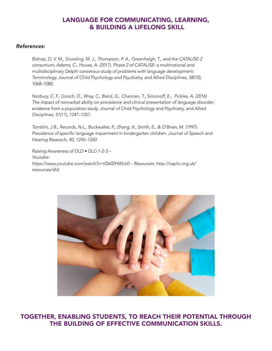# LANGUAGE FOR COMMUNICATING, LEARNING, & BUILDING A LIFELONG SKILL

#### *References:*

*Bishop, D. V. M., Snowling, M. J., Thompson, P. A., Greenhalgh, T., and the CATALISE-2 consortium, Adams, C., House, A. (2017). Phase 2 of CATALISE: a multinational and multidisciplinary Delphi consensus study of problems with language development: Terminology. Journal of Child Psychology and Psychiatry, and Allied Disciplines, 58(10), 1068–1080.*

*Norbury, C. F., Gooch, D., Wray, C., Baird, G., Charman, T., Simonoff, E., Pickles, A. (2016) The impact of nonverbal ability on prevalence and clinical presentation of language disorder: evidence from a population study. Journal of Child Psychology and Psychiatry, and Allied Disciplines, 57(11), 1247–1257.*

*Tomblin, J.B., Records, N.L., Buckwalter, P., Zhang, X., Smith, E., & O'Brien, M. (1997).*  Prevalence of specific language impairment in kindergarten children. Journal of Speech and *Hearing Research, 40, 1245–1260.*

*Raising Awareness of DLD • DLD 1-2-3 – Youtube: https://www.youtube.com/watch?v=tQs02HWLb0 – Resources: http://naplic.org.uk/ resources/dld*



TOGETHER, ENABLING STUDENTS, TO REACH THEIR POTENTIAL THROUGH THE BUILDING OF EFFECTIVE COMMUNICATION SKILLS.